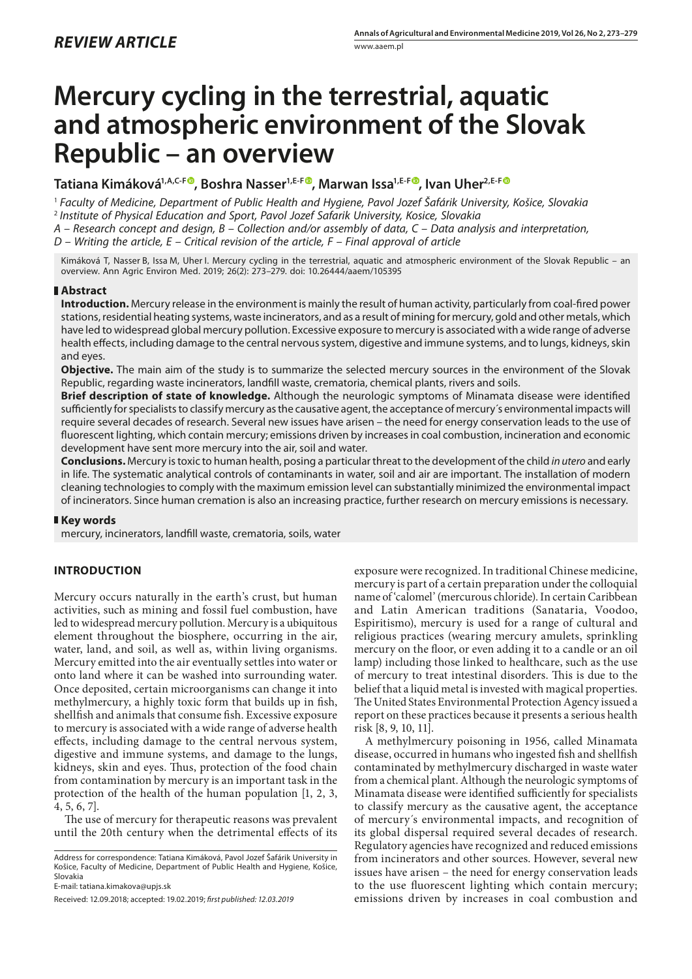# **Mercury cycling in the terrestrial, aquatic and atmospheric environment of the Slovak Republic – an overview**

**Tatiana Kimáková1,A,C-F , Boshra Nasser1,E-F , Marwan Issa1,E-F [,](https://orcid.org/0000-0003-3275-2998) Ivan Uher2,E-F**

<sup>1</sup> *Faculty of Medicine, Department of Public Health and Hygiene, Pavol Jozef Šafárik University, Košice, Slovakia* <sup>2</sup> *Institute of Physical Education and Sport, Pavol Jozef Safarik University, Kosice, Slovakia*

*A – Research concept and design, B – Collection and/or assembly of data, C – Data analysis and interpretation,* 

*D – Writing the article, E – Critical revision of the article, F – Final approval of article*

Kimáková T, Nasser B, Issa M, Uher I. Mercury cycling in the terrestrial, aquatic and atmospheric environment of the Slovak Republic – an overview. Ann Agric Environ Med. 2019; 26(2): 273–279. doi: 10.26444/aaem/105395

# **Abstract**

**Introduction.** Mercury release in the environment is mainly the result of human activity, particularly from coal-fired power stations, residential heating systems, waste incinerators, and as a result of mining for mercury, gold and other metals, which have led to widespread global mercury pollution. Excessive exposure to mercury is associated with a wide range of adverse health effects, including damage to the central nervous system, digestive and immune systems, and to lungs, kidneys, skin and eyes.

**Objective.** The main aim of the study is to summarize the selected mercury sources in the environment of the Slovak Republic, regarding waste incinerators, landfill waste, crematoria, chemical plants, rivers and soils.

**Brief description of state of knowledge.** Although the neurologic symptoms of Minamata disease were identified sufficiently for specialists to classify mercury as the causative agent, the acceptance of mercury´s environmental impacts will require several decades of research. Several new issues have arisen – the need for energy conservation leads to the use of fluorescent lighting, which contain mercury; emissions driven by increases in coal combustion, incineration and economic development have sent more mercury into the air, soil and water.

**Conclusions.** Mercury is toxic to human health, posing a particular threat to the development of the child *in utero* and early in life. The systematic analytical controls of contaminants in water, soil and air are important. The installation of modern cleaning technologies to comply with the maximum emission level can substantially minimized the environmental impact of incinerators. Since human cremation is also an increasing practice, further research on mercury emissions is necessary.

# **Key words**

mercury, incinerators, landfill waste, crematoria, soils, water

# **INTRODUCTION**

Mercury occurs naturally in the earth's crust, but human activities, such as mining and fossil fuel combustion, have led to widespread mercury pollution. Mercury is a ubiquitous element throughout the biosphere, occurring in the air, water, land, and soil, as well as, within living organisms. Mercury emitted into the air eventually settles into water or onto land where it can be washed into surrounding water. Once deposited, certain microorganisms can change it into methylmercury, a highly toxic form that builds up in fish, shellfish and animals that consume fish. Excessive exposure to mercury is associated with a wide range of adverse health effects, including damage to the central nervous system, digestive and immune systems, and damage to the lungs, kidneys, skin and eyes. Thus, protection of the food chain from contamination by mercury is an important task in the protection of the health of the human population [1, 2, 3, 4, 5, 6, 7].

The use of mercury for therapeutic reasons was prevalent until the 20th century when the detrimental effects of its

Address for correspondence: Tatiana Kimáková, Pavol Jozef Šafárik University in Košice, Faculty of Medicine, Department of Public Health and Hygiene, Košice, Slovakia

E-mail: tatiana.kimakova@upjs.sk

exposure were recognized. In traditional Chinese medicine, mercury is part of a certain preparation under the colloquial name of 'calomel' (mercurous chloride). In certain Caribbean and Latin American traditions (Sanataria, Voodoo, Espiritismo), mercury is used for a range of cultural and religious practices (wearing mercury amulets, sprinkling mercury on the floor, or even adding it to a candle or an oil lamp) including those linked to healthcare, such as the use of mercury to treat intestinal disorders. This is due to the belief that a liquid metal is invested with magical properties. The United States Environmental Protection Agency issued a report on these practices because it presents a serious health risk [8, 9, 10, 11].

A methylmercury poisoning in 1956, called Minamata disease, occurred in humans who ingested fish and shellfish contaminated by methylmercury discharged in waste water from a chemical plant. Although the neurologic symptoms of Minamata disease were identified sufficiently for specialists to classify mercury as the causative agent, the acceptance of mercury´s environmental impacts, and recognition of its global dispersal required several decades of research. Regulatory agencies have recognized and reduced emissions from incinerators and other sources. However, several new issues have arisen – the need for energy conservation leads to the use fluorescent lighting which contain mercury; emissions driven by increases in coal combustion and

Received: 12.09.2018; accepted: 19.02.2019; *first published: 12.03.2019*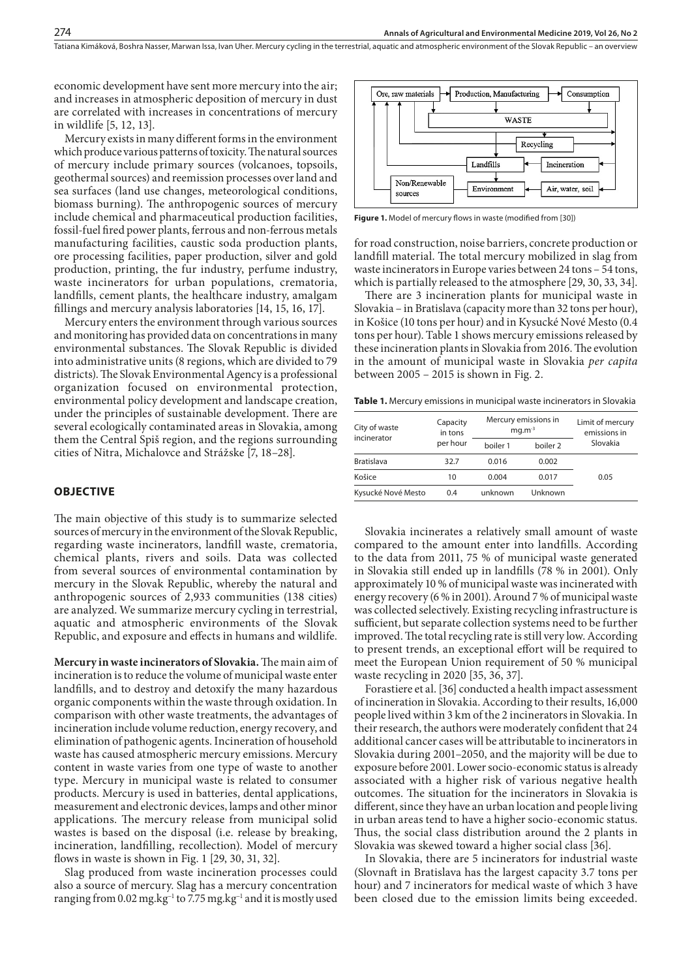economic development have sent more mercury into the air; and increases in atmospheric deposition of mercury in dust are correlated with increases in concentrations of mercury in wildlife [5, 12, 13].

Mercury exists in many different forms in the environment which produce various patterns of toxicity. The natural sources of mercury include primary sources (volcanoes, topsoils, geothermal sources) and reemission processes over land and sea surfaces (land use changes, meteorological conditions, biomass burning). The anthropogenic sources of mercury include chemical and pharmaceutical production facilities, fossil-fuel fired power plants, ferrous and non-ferrous metals manufacturing facilities, caustic soda production plants, ore processing facilities, paper production, silver and gold production, printing, the fur industry, perfume industry, waste incinerators for urban populations, crematoria, landfills, cement plants, the healthcare industry, amalgam fillings and mercury analysis laboratories [14, 15, 16, 17].

Mercury enters the environment through various sources and monitoring has provided data on concentrations in many environmental substances. The Slovak Republic is divided into administrative units (8 regions, which are divided to 79 districts). The Slovak Environmental Agency is a professional organization focused on environmental protection, environmental policy development and landscape creation, under the principles of sustainable development. There are several ecologically contaminated areas in Slovakia, among them the Central Spiš region, and the regions surrounding cities of Nitra, Michalovce and Strážske [7, 18–28].

#### **OBJECTIVE**

The main objective of this study is to summarize selected sources of mercury in the environment of the Slovak Republic, regarding waste incinerators, landfill waste, crematoria, chemical plants, rivers and soils. Data was collected from several sources of environmental contamination by mercury in the Slovak Republic, whereby the natural and anthropogenic sources of 2,933 communities (138 cities) are analyzed. We summarize mercury cycling in terrestrial, aquatic and atmospheric environments of the Slovak Republic, and exposure and effects in humans and wildlife.

**Mercury in waste incinerators of Slovakia.** The main aim of incineration is to reduce the volume of municipal waste enter landfills, and to destroy and detoxify the many hazardous organic components within the waste through oxidation. In comparison with other waste treatments, the advantages of incineration include volume reduction, energy recovery, and elimination of pathogenic agents. Incineration of household waste has caused atmospheric mercury emissions. Mercury content in waste varies from one type of waste to another type. Mercury in municipal waste is related to consumer products. Mercury is used in batteries, dental applications, measurement and electronic devices, lamps and other minor applications. The mercury release from municipal solid wastes is based on the disposal (i.e. release by breaking, incineration, landfilling, recollection). Model of mercury flows in waste is shown in Fig. 1 [29, 30, 31, 32].

Slag produced from waste incineration processes could also a source of mercury. Slag has a mercury concentration ranging from 0.02 mg.kg<sup>-1</sup> to 7.75 mg.kg<sup>-1</sup> and it is mostly used



**Figure 1.** Model of mercury flows in waste (modified from [30])

for road construction, noise barriers, concrete production or landfill material. The total mercury mobilized in slag from waste incinerators in Europe varies between 24 tons – 54 tons, which is partially released to the atmosphere [29, 30, 33, 34].

There are 3 incineration plants for municipal waste in Slovakia – in Bratislava (capacity more than 32 tons per hour), in Košice (10 tons per hour) and in Kysucké Nové Mesto (0.4 tons per hour). Table 1 shows mercury emissions released by these incineration plants in Slovakia from 2016. The evolution in the amount of municipal waste in Slovakia *per capita* between 2005 – 2015 is shown in Fig. 2.

**Table 1.** Mercury emissions in municipal waste incinerators in Slovakia

| City of waste      | Capacity<br>in tons<br>per hour | Mercury emissions in<br>$mq.m^{-3}$ | Limit of mercury<br>emissions in |          |
|--------------------|---------------------------------|-------------------------------------|----------------------------------|----------|
| incinerator        |                                 | boiler 1                            | boiler 2                         | Slovakia |
| <b>Bratislava</b>  | 32.7                            | 0.016                               | 0.002                            |          |
| Košice             | 10                              | 0.004                               | 0.017                            | 0.05     |
| Kysucké Nové Mesto | 0.4                             | unknown                             | Unknown                          |          |

Slovakia incinerates a relatively small amount of waste compared to the amount enter into landfills. According to the data from 2011, 75 % of municipal waste generated in Slovakia still ended up in landfills (78 % in 2001). Only approximately 10 % of municipal waste was incinerated with energy recovery (6 % in 2001). Around 7 % of municipal waste was collected selectively. Existing recycling infrastructure is sufficient, but separate collection systems need to be further improved. The total recycling rate is still very low. According to present trends, an exceptional effort will be required to meet the European Union requirement of 50 % municipal waste recycling in 2020 [35, 36, 37].

Forastiere et al. [36] conducted a health impact assessment of incineration in Slovakia. According to their results, 16,000 people lived within 3 km of the 2 incinerators in Slovakia. In their research, the authors were moderately confident that 24 additional cancer cases will be attributable to incinerators in Slovakia during 2001–2050, and the majority will be due to exposure before 2001. Lower socio-economic status is already associated with a higher risk of various negative health outcomes. The situation for the incinerators in Slovakia is different, since they have an urban location and people living in urban areas tend to have a higher socio-economic status. Thus, the social class distribution around the 2 plants in Slovakia was skewed toward a higher social class [36].

In Slovakia, there are 5 incinerators for industrial waste (Slovnaft in Bratislava has the largest capacity 3.7 tons per hour) and 7 incinerators for medical waste of which 3 have been closed due to the emission limits being exceeded.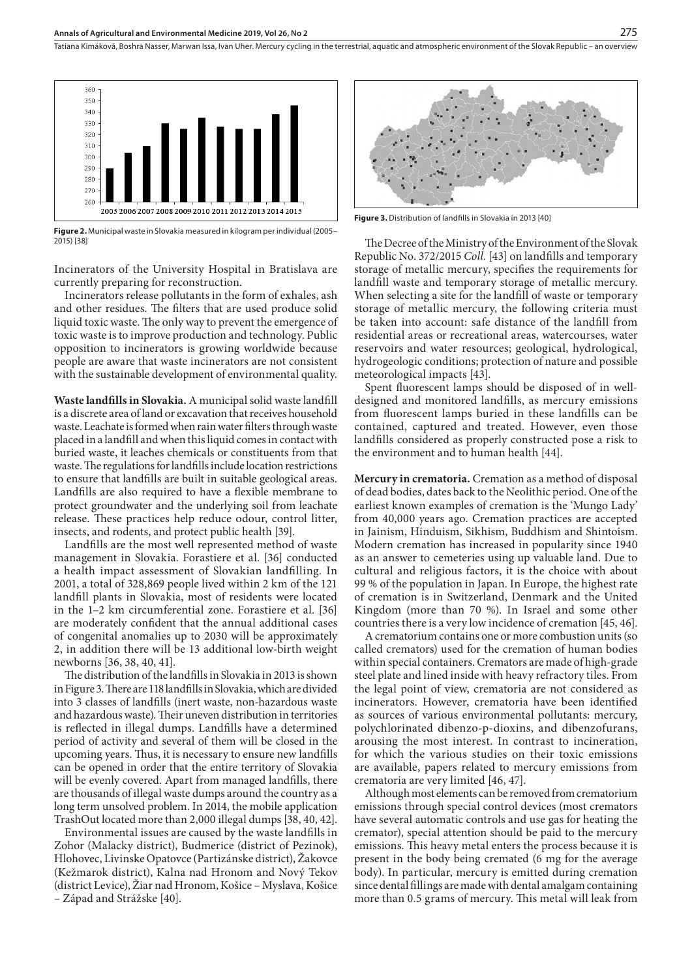

**Figure 2.** Municipal waste in Slovakia measured in kilogram per individual (2005– 2015) [38]

Incinerators of the University Hospital in Bratislava are currently preparing for reconstruction.

Incinerators release pollutants in the form of exhales, ash and other residues. The filters that are used produce solid liquid toxic waste. The only way to prevent the emergence of toxic waste is to improve production and technology. Public opposition to incinerators is growing worldwide because people are aware that waste incinerators are not consistent with the sustainable development of environmental quality.

**Waste landfills in Slovakia.** A municipal solid waste landfill is a discrete area of land or excavation that receives household waste. Leachate is formed when rain water filters through waste placed in a landfill and when this liquid comes in contact with buried waste, it leaches chemicals or constituents from that waste. The regulations for landfills include location restrictions to ensure that landfills are built in suitable geological areas. Landfills are also required to have a flexible membrane to protect groundwater and the underlying soil from leachate release. These practices help reduce odour, control litter, insects, and rodents, and protect public health [39].

Landfills are the most well represented method of waste management in Slovakia. Forastiere et al. [36] conducted a health impact assessment of Slovakian landfilling. In 2001, a total of 328,869 people lived within 2 km of the 121 landfill plants in Slovakia, most of residents were located in the 1–2 km circumferential zone. Forastiere et al. [36] are moderately confident that the annual additional cases of congenital anomalies up to 2030 will be approximately 2, in addition there will be 13 additional low-birth weight newborns [36, 38, 40, 41].

The distribution of the landfills in Slovakia in 2013 is shown in Figure 3. There are 118 landfills in Slovakia, which are divided into 3 classes of landfills (inert waste, non-hazardous waste and hazardous waste). Their uneven distribution in territories is reflected in illegal dumps. Landfills have a determined period of activity and several of them will be closed in the upcoming years. Thus, it is necessary to ensure new landfills can be opened in order that the entire territory of Slovakia will be evenly covered. Apart from managed landfills, there are thousands of illegal waste dumps around the country as a long term unsolved problem. In 2014, the mobile application TrashOut located more than 2,000 illegal dumps [38, 40, 42].

Environmental issues are caused by the waste landfills in Zohor (Malacky district), Budmerice (district of Pezinok), Hlohovec, Livinske Opatovce (Partizánske district), Žakovce (Kežmarok district), Kalna nad Hronom and Nový Tekov (district Levice), Žiar nad Hronom, Košice – Myslava, Košice – Západ and Strážske [40].



**Figure 3.** Distribution of landfills in Slovakia in 2013 [40]

The Decree of the Ministry of the Environment of the Slovak Republic No. 372/2015 *Coll.* [43] on landfills and temporary storage of metallic mercury, specifies the requirements for landfill waste and temporary storage of metallic mercury. When selecting a site for the landfill of waste or temporary storage of metallic mercury, the following criteria must be taken into account: safe distance of the landfill from residential areas or recreational areas, watercourses, water reservoirs and water resources; geological, hydrological, hydrogeologic conditions; protection of nature and possible meteorological impacts [43].

Spent fluorescent lamps should be disposed of in welldesigned and monitored [landfills](https://www.sciencedirect.com/topics/earth-and-planetary-sciences/landfill), as mercury emissions from fluorescent lamps buried in these landfills can be contained, captured and treated. However, even those landfills considered as properly constructed pose a risk to the environment and to human health [44].

**Mercury in crematoria.** Cremation as a method of disposal of dead bodies, dates back to the Neolithic period. One of the earliest known examples of cremation is the 'Mungo Lady' from 40,000 years ago. Cremation practices are accepted in Jainism, Hinduism, Sikhism, Buddhism and Shintoism. Modern cremation has increased in popularity since 1940 as an answer to cemeteries using up valuable land. Due to cultural and religious factors, it is the choice with about 99 % of the population in Japan. In Europe, the highest rate of cremation is in Switzerland, Denmark and the United Kingdom (more than 70 %). In Israel and some other countries there is a very low incidence of cremation [45, 46].

A crematorium contains one or more combustion units (so called cremators) used for the cremation of human bodies within special containers. Cremators are made of high-grade steel plate and lined inside with heavy refractory tiles. From the legal point of view, crematoria are not considered as incinerators. However, crematoria have been identified as sources of various environmental pollutants: mercury, polychlorinated dibenzo-p-dioxins, and dibenzofurans, arousing the most interest. In contrast to incineration, for which the various studies on their toxic emissions are available, papers related to mercury emissions from crematoria are very limited [46, 47].

Although most elements can be removed from crematorium emissions through special control devices (most cremators have several automatic controls and use gas for heating the cremator), special attention should be paid to the mercury emissions. This heavy metal enters the process because it is present in the body being cremated (6 mg for the average body). In particular, mercury is emitted during cremation since dental fillings are made with dental amalgam containing more than 0.5 grams of mercury. This metal will leak from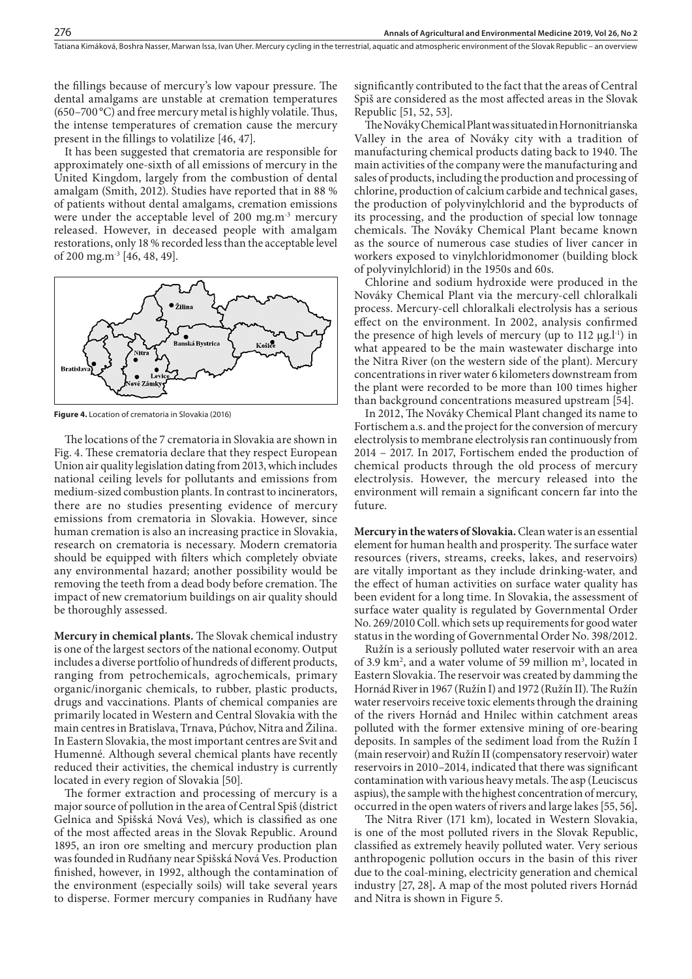the fillings because of mercury's low vapour pressure. The dental amalgams are unstable at cremation temperatures (650–700 °C) and free mercury metal is highly volatile. Thus, the intense temperatures of cremation cause the mercury present in the fillings to volatilize [46, 47].

It has been suggested that crematoria are responsible for approximately one-sixth of all emissions of mercury in the United Kingdom, largely from the combustion of dental amalgam (Smith, 2012). Studies have reported that in 88 % of patients without dental amalgams, cremation emissions were under the acceptable level of 200 mg.m<sup>-3</sup> mercury released. However, in deceased people with amalgam restorations, only 18 % recorded less than the acceptable level of 200 mg.m-3 [46, 48, 49].



**Figure 4.** Location of crematoria in Slovakia (2016)

The locations of the 7 crematoria in Slovakia are shown in Fig. 4. These crematoria declare that they respect European Union air quality legislation dating from 2013, which includes national ceiling levels for pollutants and emissions from medium-sized combustion plants. In contrast to incinerators, there are no studies presenting evidence of mercury emissions from crematoria in Slovakia. However, since human cremation is also an increasing practice in Slovakia, research on crematoria is necessary. Modern crematoria should be equipped with filters which completely obviate any environmental hazard; another possibility would be removing the teeth from a dead body before cremation. The impact of new crematorium buildings on air quality should be thoroughly assessed.

**Mercury in chemical plants.** The Slovak chemical industry is one of the largest sectors of the national economy. Output includes a diverse portfolio of hundreds of different products, ranging from petrochemicals, agrochemicals, primary organic/inorganic chemicals, to rubber, plastic products, drugs and vaccinations. Plants of chemical companies are primarily located in Western and Central Slovakia with the main centres in Bratislava, Trnava, Púchov, Nitra and Žilina. In Eastern Slovakia, the most important centres are Svit and Humenné. Although several chemical plants have recently reduced their activities, the chemical industry is currently located in every region of Slovakia [50].

The former extraction and processing of mercury is a major source of pollution in the area of Central Spiš (district Gelnica and Spišská Nová Ves), which is classified as one of the most affected areas in the Slovak Republic. Around 1895, an iron ore smelting and mercury production plan was founded in Rudňany near Spišská Nová Ves. Production finished, however, in 1992, although the contamination of the environment (especially soils) will take several years to disperse. Former mercury companies in Rudňany have significantly contributed to the fact that the areas of Central Spiš are considered as the most affected areas in the Slovak Republic [51, 52, 53].

The Nováky Chemical Plant was situated in Hornonitrianska Valley in the area of Nováky city with a tradition of manufacturing chemical products dating back to 1940. The main activities of the company were the manufacturing and sales of products, including the production and processing of chlorine, production of calcium carbide and technical gases, the production of polyvinylchlorid and the byproducts of its processing, and the production of special low tonnage chemicals. The Nováky Chemical Plant became known as the source of numerous case studies of liver cancer in workers exposed to vinylchloridmonomer (building block of polyvinylchlorid) in the 1950s and 60s.

Chlorine and sodium hydroxide were produced in the Nováky Chemical Plant via the mercury-cell chloralkali process. Mercury-cell chloralkali electrolysis has a serious effect on the environment. In 2002, analysis confirmed the presence of high levels of mercury (up to  $112 \mu g.1^{-1}$ ) in what appeared to be the main wastewater discharge into the Nitra River (on the western side of the plant). Mercury concentrations in river water 6 kilometers downstream from the plant were recorded to be more than 100 times higher than background concentrations measured upstream [54].

In 2012, The Nováky Chemical Plant changed its name to Fortischem a.s. and the project for the conversion of mercury electrolysis to membrane electrolysis ran continuously from 2014 – 2017. In 2017, Fortischem ended the production of chemical products through the old process of mercury electrolysis. However, the mercury released into the environment will remain a significant concern far into the future.

**Mercury in the waters of Slovakia.** Clean water is an essential element for human health and prosperity. The surface water resources (rivers, streams, creeks, lakes, and reservoirs) are vitally important as they include drinking-water, and the effect of human activities on surface water quality has been evident for a long time. In Slovakia, the assessment of surface water quality is regulated by Governmental Order No. 269/2010 Coll. which sets up requirements for good water status in the wording of Governmental Order No. 398/2012.

Ružín is a seriously polluted water reservoir with an area of 3.9  $\text{km}^2$ , and a water volume of 59 million m<sup>3</sup>, located in Eastern Slovakia. The reservoir was created by damming the Hornád River in 1967 (Ružín I) and 1972 (Ružín II). The Ružín water reservoirs receive toxic elements through the draining of the rivers Hornád and Hnilec within catchment areas polluted with the former extensive mining of ore-bearing deposits. In samples of the sediment load from the Ružín I (main reservoir) and Ružín II (compensatory reservoir) water reservoirs in 2010–2014, indicated that there was significant contamination with various heavy metals. The asp (Leuciscus aspius), the sample with the highest concentration of mercury, occurred in the open waters of rivers and large lakes [55, 56]**.**

The Nitra River (171 km), located in Western Slovakia, is one of the most polluted rivers in the Slovak Republic, classified as extremely heavily polluted water. Very serious anthropogenic pollution occurs in the basin of this river due to the coal-mining, electricity generation and chemical industry [27, 28]**.** A map of the most poluted rivers Hornád and Nitra is shown in Figure 5.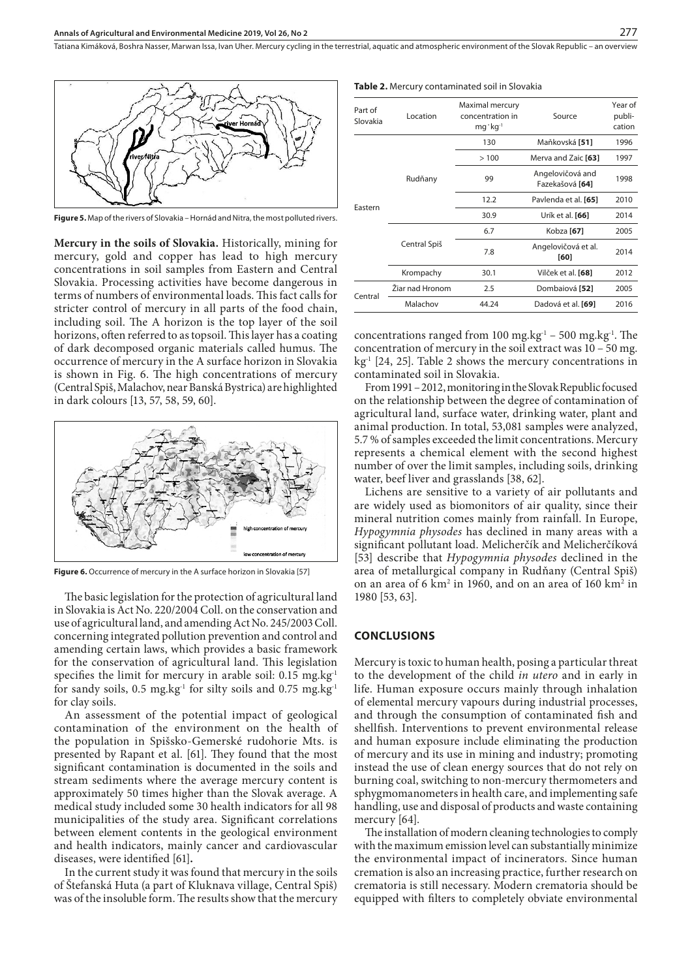

**Figure 5.** Map of the rivers of Slovakia – Hornád and Nitra, the most polluted rivers.

**Mercury in the soils of Slovakia.** Historically, mining for mercury, gold and copper has lead to high mercury concentrations in soil samples from Eastern and Central Slovakia. Processing activities have become dangerous in terms of numbers of environmental loads. This fact calls for stricter control of mercury in all parts of the food chain, including soil. The A horizon is the top layer of the soil horizons, often referred to as topsoil. This layer has a coating of dark decomposed organic materials called humus. The occurrence of mercury in the A surface horizon in Slovakia is shown in Fig. 6. The high concentrations of mercury (Central Spiš, Malachov, near Banská Bystrica) are highlighted in dark colours [13, 57, 58, 59, 60].



**Figure 6.** Occurrence of mercury in the A surface horizon in Slovakia [57]

The basic legislation for the protection of agricultural land in Slovakia is Act No. 220/2004 Coll. on the conservation and use of agricultural land, and amending Act No. 245/2003 Coll. concerning integrated pollution prevention and control and amending certain laws, which provides a basic framework for the conservation of agricultural land. This legislation specifies the limit for mercury in arable soil:  $0.15 \text{ mg} \cdot \text{kg}^{-1}$ for sandy soils,  $0.5 \text{ mg}$ .kg<sup>-1</sup> for silty soils and  $0.75 \text{ mg}$ .kg<sup>-1</sup> for clay soils.

An assessment of the potential impact of geological contamination of the environment on the health of the population in Spišsko-Gemerské rudohorie Mts. is presented by Rapant et al. [61]. They found that the most significant contamination is documented in the soils and stream sediments where the average mercury content is approximately 50 times higher than the Slovak average. A medical study included some 30 health indicators for all 98 municipalities of the study area. Significant correlations between element contents in the geological environment and health indicators, mainly cancer and cardiovascular diseases, were identified [61]**.**

In the current study it was found that mercury in the soils of Štefanská Huta (a part of Kluknava village, Central Spiš) was of the insoluble form. The results show that the mercury

|  |  |  | <b>Table 2.</b> Mercury contaminated soil in Slovakia |  |  |  |  |  |  |  |  |  |
|--|--|--|-------------------------------------------------------|--|--|--|--|--|--|--|--|--|
|--|--|--|-------------------------------------------------------|--|--|--|--|--|--|--|--|--|

| Part of<br>Slovakia | Location        | Maximal mercury<br>concentration in<br>$mq$ $kq^{-1}$ | Source                              | Year of<br>publi-<br>cation |
|---------------------|-----------------|-------------------------------------------------------|-------------------------------------|-----------------------------|
| Eastern             |                 | 130                                                   | Maňkovská [51]                      | 1996                        |
|                     |                 | >100                                                  | Merva and Zaic [63]                 | 1997                        |
|                     | Rudňany         | 99                                                    | Angelovičová and<br>Fazekašová [64] | 1998                        |
|                     |                 | 12.2                                                  | Pavlenda et al. [65]                | 2010                        |
|                     |                 | 30.9                                                  | Urík et al. [66]                    | 2014                        |
|                     |                 | 6.7                                                   | Kobza [67]                          | 2005                        |
|                     | Central Spiš    | 7.8                                                   | Angelovičová et al.<br>[60]         | 2014                        |
|                     | Krompachy       | 30.1                                                  | Vilček et al. [68]                  | 2012                        |
| Central             | Žiar nad Hronom | 2.5                                                   | Dombaiová [52]                      | 2005                        |
|                     | Malachov        | 44.24                                                 | Dadová et al. [69]                  | 2016                        |

concentrations ranged from 100 mg.kg $^{-1}$  – 500 mg.kg $^{-1}$ . The concentration of mercury in the soil extract was 10 – 50 mg.  $kg<sup>-1</sup>$  [24, 25]. Table 2 shows the mercury concentrations in contaminated soil in Slovakia.

From 1991 – 2012, monitoring in the Slovak Republic focused on the relationship between the degree of contamination of agricultural land, surface water, drinking water, plant and animal production. In total, 53,081 samples were analyzed, 5.7 % of samples exceeded the limit concentrations. Mercury represents a chemical element with the second highest number of over the limit samples, including soils, drinking water, beef liver and grasslands [38, 62].

Lichens are sensitive to a variety of air pollutants and are widely used as biomonitors of air quality, since their mineral nutrition comes mainly from rainfall. In Europe, *Hypogymnia physodes* has declined in many areas with a significant pollutant load. Melicherčík and Melicherčíková [53] describe that *Hypogymnia physodes* declined in the area of metallurgical company in Rudňany (Central Spiš) on an area of 6  $km^2$  in 1960, and on an area of 160  $km^2$  in 1980 [53, 63].

#### **CONCLUSIONS**

Mercury is toxic to human health, posing a particular threat to the development of the child *in utero* and in early in life. Human exposure occurs mainly through inhalation of elemental mercury vapours during industrial processes, and through the consumption of contaminated fish and shellfish. Interventions to prevent environmental release and human exposure include eliminating the production of mercury and its use in mining and industry; promoting instead the use of clean energy sources that do not rely on burning coal, switching to non-mercury thermometers and sphygmomanometers in health care, and implementing safe handling, use and disposal of products and waste containing mercury [64].

The installation of modern cleaning technologies to comply with the maximum emission level can substantially minimize the environmental impact of incinerators. Since human cremation is also an increasing practice, further research on crematoria is still necessary. Modern crematoria should be equipped with filters to completely obviate environmental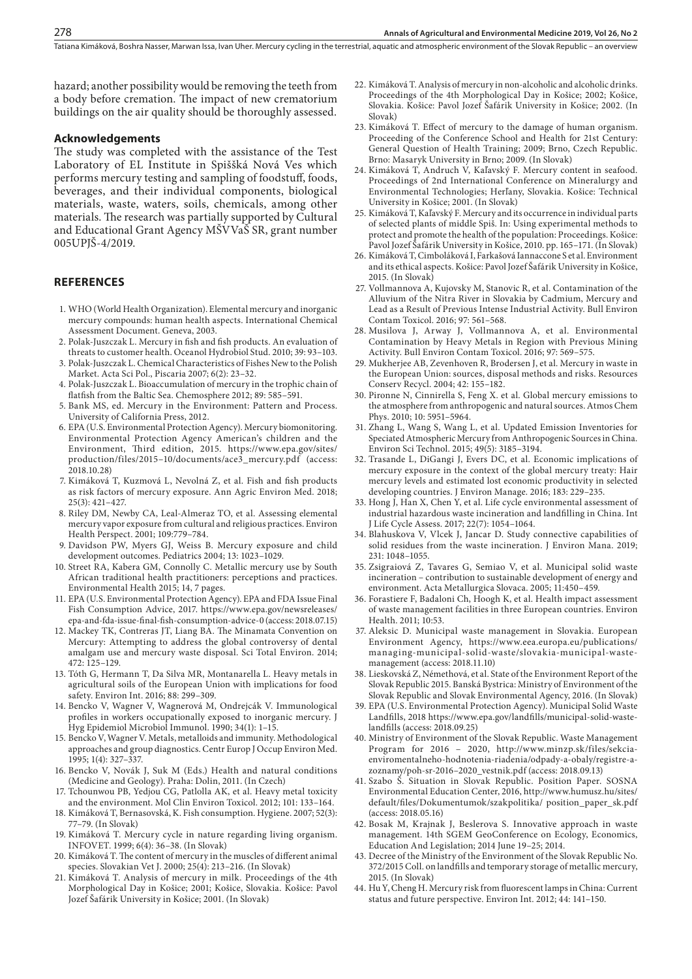hazard; another possibility would be removing the teeth from a body before cremation. The impact of new crematorium buildings on the air quality should be thoroughly assessed.

#### **Acknowledgements**

The study was completed with the assistance of the Test Laboratory of EL Institute in Spiššká Nová Ves which performs mercury testing and sampling of foodstuff, foods, beverages, and their individual components, biological materials, waste, waters, soils, chemicals, among other materials. The research was partially supported by Cultural and Educational Grant Agency MŠVVaŠ SR, grant number 005UPJŠ-4/2019.

### **REFERENCES**

- 1. WHO (World Health Organization). Elemental mercury and inorganic mercury compounds: human health aspects. International Chemical Assessment Document. Geneva, 2003.
- 2. Polak-Juszczak L. Mercury in fish and fish products. An evaluation of threats to customer health. Oceanol Hydrobiol Stud. 2010; 39: 93–103.
- 3. Polak-Juszczak L. Chemical Characteristics of Fishes New to the Polish Market. Acta Sci Pol., Piscaria 2007; 6(2): 23–32.
- 4. Polak-Juszczak L. Bioaccumulation of mercury in the trophic chain of flatfish from the Baltic Sea. Chemosphere 2012; 89: 585–591.
- 5. Bank MS, ed. Mercury in the Environment: Pattern and Process. University of California Press, 2012.
- 6. EPA (U.S. Environmental Protection Agency). Mercury biomonitoring. Environmental Protection Agency American's children and the Environment, Third edition, 2015. https://www.epa.gov/sites/ production/files/2015–10/documents/ace3\_mercury.pdf (access: 2018.10.28)
- 7. Kimáková T, Kuzmová L, Nevolná Z, et al. Fish and fish products as risk factors of mercury exposure. Ann Agric Environ Med. 2018; 25(3): 421–427.
- 8. Riley DM, Newby CA, Leal-Almeraz TO, et al. Assessing elemental mercury vapor exposure from cultural and religious practices. Environ Health Perspect. 2001; 109:779–784.
- 9. Davidson PW, Myers GJ, Weiss B. Mercury exposure and child development outcomes. Pediatrics 2004; 13: 1023–1029.
- 10. Street RA, Kabera GM, Connolly C. Metallic mercury use by South African traditional health practitioners: perceptions and practices. Environmental Health 2015; 14, 7 pages.
- 11. EPA (U.S. Environmental Protection Agency). EPA and FDA Issue Final Fish Consumption Advice, 2017. https://www.epa.gov/newsreleases/ epa-and-fda-issue-final-fish-consumption-advice-0 (access: 2018.07.15)
- 12. Mackey TK, Contreras JT, Liang BA. The Minamata Convention on Mercury: Attempting to address the global controversy of dental amalgam use and mercury waste disposal. Sci Total Environ. 2014; 472: 125–129.
- 13. Tóth G, Hermann T, Da Silva MR, Montanarella L. Heavy metals in agricultural soils of the European Union with implications for food safety. Environ Int. 2016; 88: 299–309.
- 14. Bencko V, Wagner V, Wagnerová M, Ondrejcák V. Immunological profiles in workers occupationally exposed to inorganic mercury. J Hyg Epidemiol Microbiol Immunol. 1990; 34(1): 1–15.
- 15. Bencko V, Wagner V. Metals, metalloids and immunity. Methodological approaches and group diagnostics. Centr Europ J Occup Environ Med. 1995; 1(4): 327–337.
- 16. Bencko V, Novák J, Suk M (Eds.) Health and natural conditions (Medicine and Geology). Praha: Dolin, 2011. (In Czech)
- 17. Tchounwou PB, Yedjou CG, Patlolla AK, et al. Heavy metal toxicity and the environment. Mol Clin Environ Toxicol. 2012; 101: 133–164.
- 18. Kimáková T, Bernasovská, K. Fish consumption. Hygiene. 2007; 52(3): 77–79. (In Slovak)
- 19. Kimáková T. Mercury cycle in nature regarding living organism. INFOVET. 1999; 6(4): 36–38. (In Slovak)
- 20. Kimáková T. The content of mercury in the muscles of different animal species. Slovakian Vet J. 2000; 25(4): 213–216. (In Slovak)
- 21. Kimáková T. Analysis of mercury in milk. Proceedings of the 4th Morphological Day in Košice; 2001; Košice, Slovakia. Košice: Pavol Jozef Šafárik University in Košice; 2001. (In Slovak)
- 22. Kimáková T. Analysis of mercury in non-alcoholic and alcoholic drinks. Proceedings of the 4th Morphological Day in Košice; 2002; Košice, Slovakia. Košice: Pavol Jozef Šafárik University in Košice; 2002. (In Slovak)
- 23. Kimáková T. Effect of mercury to the damage of human organism. Proceeding of the Conference School and Health for 21st Century: General Question of Health Training; 2009; Brno, Czech Republic. Brno: Masaryk University in Brno; 2009. (In Slovak)
- 24. Kimáková T, Andruch V, Kaľavský F. Mercury content in seafood. Proceedings of 2nd International Conference on Mineralurgy and Environmental Technologies; Herľany, Slovakia. Košice: Technical University in Košice; 2001. (In Slovak)
- 25. Kimáková T, Kaľavský F. Mercury and its occurrence in individual parts of selected plants of middle Spiš. In: Using experimental methods to protect and promote the health of the population: Proceedings. Košice: Pavol Jozef Šafárik University in Košice, 2010. pp. 165–171. (In Slovak)
- 26. Kimáková T, Cimboláková I, Farkašová Iannaccone S et al. Environment and its ethical aspects. Košice: Pavol Jozef Šafárik University in Košice, 2015. (In Slovak)
- 27. Vollmannova A, Kujovsky M, Stanovic R, et al. Contamination of the Alluvium of the Nitra River in Slovakia by Cadmium, Mercury and Lead as a Result of Previous Intense Industrial Activity. Bull Environ Contam Toxicol. 2016; 97: 561–568.
- 28. Musilova J, Arway J, Vollmannova A, et al. Environmental Contamination by Heavy Metals in Region with Previous Mining Activity. Bull Environ Contam Toxicol. 2016; 97: 569–575.
- 29. Mukherjee AB, Zevenhoven R, Brodersen J, et al. Mercury in waste in the European Union: sources, disposal methods and risks. Resources Conserv Recycl. 2004; 42: 155–182.
- 30. Pironne N, Cinnirella S, Feng X. et al. Global mercury emissions to the atmosphere from anthropogenic and natural sources. Atmos Chem Phys. 2010; 10: 5951–5964.
- 31. Zhang L, Wang S, Wang L, et al. Updated Emission Inventories for Speciated Atmospheric Mercury from Anthropogenic Sources in China. Environ Sci Technol. 2015; 49(5): 3185–3194.
- 32. Trasande L, DiGangi J, Evers DC, et al. Economic implications of mercury exposure in the context of the global mercury treaty: Hair mercury levels and estimated lost economic productivity in selected developing countries. J Environ Manage. 2016; 183: 229–235.
- 33. Hong J, Han X, Chen Y, et al. Life cycle environmental assessment of industrial hazardous waste incineration and landfilling in China. Int J Life Cycle Assess. 2017; 22(7): 1054–1064.
- 34. Blahuskova V, Vlcek J, Jancar D. Study connective capabilities of solid residues from the waste incineration. J Environ Mana. 2019; 231: 1048–1055.
- 35. Zsigraiová Z, Tavares G, Semiao V, et al. Municipal solid waste incineration – contribution to sustainable development of energy and environment. Acta Metallurgica Slovaca. 2005; 11:450–459.
- 36. Forastiere F, Badaloni Ch, Hoogh K, et al. Health impact assessment of waste management facilities in three European countries. Environ Health. 2011; 10:53.
- 37. Aleksic D. Municipal waste management in Slovakia. European Environment Agency, [https://www.eea.europa.eu/publications/](https://www.eea.europa.eu/publications/managing-municipal-solid-waste/slovakia-municipal-waste-management) [managing-municipal-solid-waste/slovakia-municipal-waste](https://www.eea.europa.eu/publications/managing-municipal-solid-waste/slovakia-municipal-waste-management)[management](https://www.eea.europa.eu/publications/managing-municipal-solid-waste/slovakia-municipal-waste-management) (access: 2018.11.10)
- 38. Lieskovská Z, Némethová, et al. State of the Environment Report of the Slovak Republic 2015. Banská Bystrica: Ministry of Environment of the Slovak Republic and Slovak Environmental Agency, 2016. (In Slovak)
- 39. EPA (U.S. Environmental Protection Agency). Municipal Solid Waste Landfills, 2018 [https://www.epa.gov/landfills/municipal-solid-waste](https://www.epa.gov/landfills/municipal-solid-waste-landfills)[landfills](https://www.epa.gov/landfills/municipal-solid-waste-landfills) (access: 2018.09.25)
- 40. Ministry of Environment of the Slovak Republic. Waste Management Program for 2016 – 2020, [http://www.minzp.sk/files/sekcia](http://www.minzp.sk/files/sekcia-enviromentalneho-hodnotenia-riadenia/odpady-a-obaly/registre-a-zoznamy/poh-sr-2016-2020_vestnik.pdf)[enviromentalneho-hodnotenia-riadenia/odpady-a-obaly/registre-a](http://www.minzp.sk/files/sekcia-enviromentalneho-hodnotenia-riadenia/odpady-a-obaly/registre-a-zoznamy/poh-sr-2016-2020_vestnik.pdf)[zoznamy/poh-sr-2016–2020\\_vestnik.pdf](http://www.minzp.sk/files/sekcia-enviromentalneho-hodnotenia-riadenia/odpady-a-obaly/registre-a-zoznamy/poh-sr-2016-2020_vestnik.pdf) (access: 2018.09.13)
- 41. Szabo Š. Situation in Slovak Republic. Position Paper. SOSNA Environmental Education Center, 2016, [http://www.humusz.hu/sites/](http://www.humusz.hu/sites/default/files/Dokumentumok/szakpolitika/ position_paper_sk.pdf) [default/files/Dokumentumok/szakpolitika/ position\\_paper\\_sk.pdf](http://www.humusz.hu/sites/default/files/Dokumentumok/szakpolitika/ position_paper_sk.pdf) (access: 2018.05.16)
- 42. Bosak M, Krajnak J, Beslerova S. Innovative approach in waste management. 14th SGEM GeoConference on Ecology, Economics, Education And Legislation; 2014 June 19–25; 2014.
- 43. Decree of the Ministry of the Environment of the Slovak Republic No. 372/2015 Coll. on landfills and temporary storage of metallic mercury, 2015. (In Slovak)
- 44. Hu Y, Cheng H. Mercury risk from fluorescent lamps in China: Current status and future perspective. Environ Int. 2012; 44: 141–150.